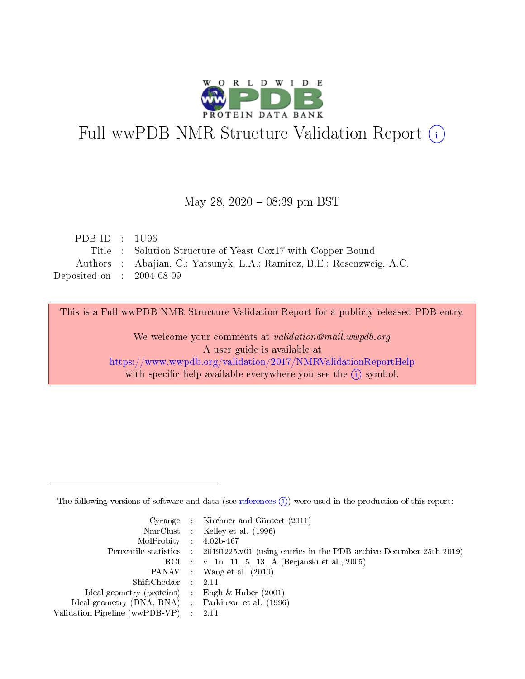

# Full wwPDB NMR Structure Validation Report (i)

#### May 28, 2020 - 08:39 pm BST

| PDB ID : $1096$                      |                                                                        |
|--------------------------------------|------------------------------------------------------------------------|
|                                      | Title : Solution Structure of Yeast Cox17 with Copper Bound            |
|                                      | Authors : Abajian, C.; Yatsunyk, L.A.; Ramirez, B.E.; Rosenzweig, A.C. |
| Deposited on $\therefore$ 2004-08-09 |                                                                        |

This is a Full wwPDB NMR Structure Validation Report for a publicly released PDB entry.

We welcome your comments at *validation@mail.wwpdb.org* A user guide is available at <https://www.wwpdb.org/validation/2017/NMRValidationReportHelp> with specific help available everywhere you see the  $(i)$  symbol.

The following versions of software and data (see [references](https://www.wwpdb.org/validation/2017/NMRValidationReportHelp#references)  $(1)$ ) were used in the production of this report:

|                                                     | Cyrange : Kirchner and Güntert $(2011)$                                                    |
|-----------------------------------------------------|--------------------------------------------------------------------------------------------|
|                                                     | NmrClust : Kelley et al. (1996)                                                            |
| $MolProbability$ 4.02b-467                          |                                                                                            |
|                                                     | Percentile statistics : 20191225.v01 (using entries in the PDB archive December 25th 2019) |
|                                                     | RCI : v 1n 11 5 13 A (Berjanski et al., 2005)                                              |
|                                                     | PANAV Wang et al. (2010)                                                                   |
| $ShiftChecker$ 2.11                                 |                                                                                            |
| Ideal geometry (proteins) : Engh $\&$ Huber (2001)  |                                                                                            |
| Ideal geometry (DNA, RNA) : Parkinson et al. (1996) |                                                                                            |
| Validation Pipeline (wwPDB-VP)                      | $\sim 2.11$                                                                                |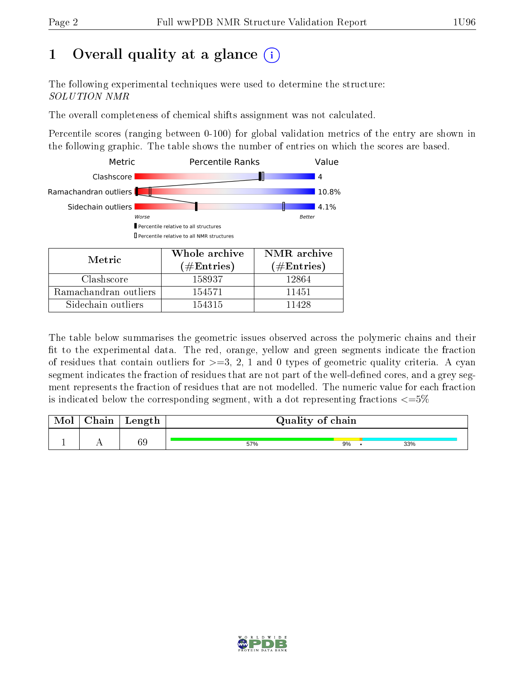## 1 [O](https://www.wwpdb.org/validation/2017/NMRValidationReportHelp#overall_quality)verall quality at a glance (i)

The following experimental techniques were used to determine the structure: SOLUTION NMR

The overall completeness of chemical shifts assignment was not calculated.

Percentile scores (ranging between 0-100) for global validation metrics of the entry are shown in the following graphic. The table shows the number of entries on which the scores are based.



The table below summarises the geometric issues observed across the polymeric chains and their fit to the experimental data. The red, orange, yellow and green segments indicate the fraction of residues that contain outliers for  $>=3, 2, 1$  and 0 types of geometric quality criteria. A cyan segment indicates the fraction of residues that are not part of the well-defined cores, and a grey segment represents the fraction of residues that are not modelled. The numeric value for each fraction is indicated below the corresponding segment, with a dot representing fractions  $\epsilon = 5\%$ 

| Mol | Chain | Length | Quality of chain |    |  |     |
|-----|-------|--------|------------------|----|--|-----|
|     |       |        |                  |    |  |     |
|     |       | 69     | 57%              | 9% |  | 33% |

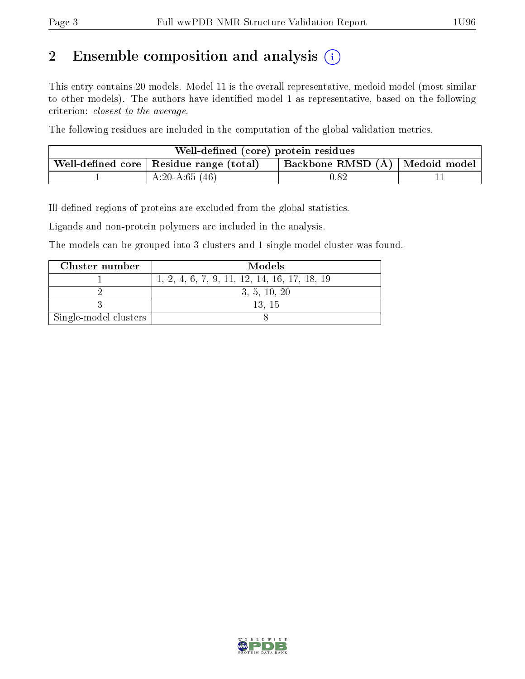## 2 Ensemble composition and analysis  $(i)$

This entry contains 20 models. Model 11 is the overall representative, medoid model (most similar to other models). The authors have identified model 1 as representative, based on the following criterion: closest to the average.

The following residues are included in the computation of the global validation metrics.

| Well-defined (core) protein residues                                                                 |                 |            |  |  |  |
|------------------------------------------------------------------------------------------------------|-----------------|------------|--|--|--|
| <b>Backbone RMSD</b> $(A)$   Medoid model<br>. Well-defined core $\mid$ Residue range (total) $\mid$ |                 |            |  |  |  |
|                                                                                                      | $A:20-A:65(46)$ | $\rm 0.82$ |  |  |  |

Ill-defined regions of proteins are excluded from the global statistics.

Ligands and non-protein polymers are included in the analysis.

The models can be grouped into 3 clusters and 1 single-model cluster was found.

| Cluster number        | Models                                       |
|-----------------------|----------------------------------------------|
|                       | 1, 2, 4, 6, 7, 9, 11, 12, 14, 16, 17, 18, 19 |
|                       | 3, 5, 10, 20                                 |
|                       | 13.15                                        |
| Single-model clusters |                                              |

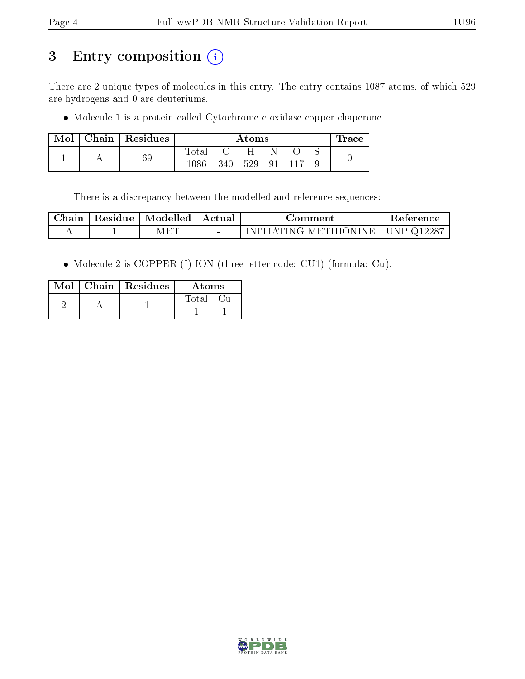## 3 Entry composition (i)

There are 2 unique types of molecules in this entry. The entry contains 1087 atoms, of which 529 are hydrogens and 0 are deuteriums.

Molecule 1 is a protein called Cytochrome c oxidase copper chaperone.

| Mol | Chain   Residues | Atoms          |     |     |    | $_{\rm \bf 1 Tacc}$ |  |
|-----|------------------|----------------|-----|-----|----|---------------------|--|
|     |                  | $_{\rm Total}$ |     |     |    |                     |  |
|     | 69               | $1086\,$       | 340 | 529 | 91 |                     |  |

There is a discrepancy between the modelled and reference sequences:

| Chain | Residue | Modelled                                   | Actual | :\omment                                         | <b>Reference</b> |
|-------|---------|--------------------------------------------|--------|--------------------------------------------------|------------------|
|       |         | $\mathrm{A}\mathrm{E}^{\boldsymbol{\tau}}$ |        | $\rightarrow$ INITIATING METHIONINE   UNP Q12287 |                  |

Molecule 2 is COPPER (I) ION (three-letter code: CU1) (formula: Cu).

|  | $\mathrm{Mol}\parallel\mathrm{Chain}\parallel\mathrm{Residues}$ | Atoms |
|--|-----------------------------------------------------------------|-------|
|  |                                                                 | Total |

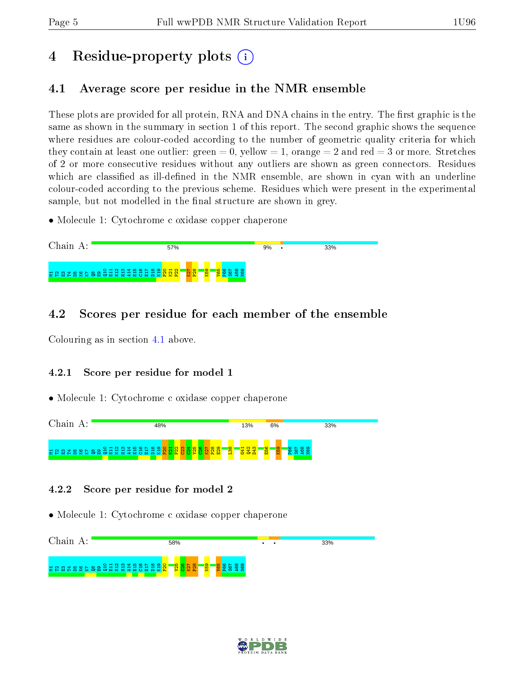## 4 Residue-property plots  $\binom{1}{1}$

### <span id="page-4-0"></span>4.1 Average score per residue in the NMR ensemble

These plots are provided for all protein, RNA and DNA chains in the entry. The first graphic is the same as shown in the summary in section 1 of this report. The second graphic shows the sequence where residues are colour-coded according to the number of geometric quality criteria for which they contain at least one outlier: green  $= 0$ , yellow  $= 1$ , orange  $= 2$  and red  $= 3$  or more. Stretches of 2 or more consecutive residues without any outliers are shown as green connectors. Residues which are classified as ill-defined in the NMR ensemble, are shown in cyan with an underline colour-coded according to the previous scheme. Residues which were present in the experimental sample, but not modelled in the final structure are shown in grey.

• Molecule 1: Cytochrome c oxidase copper chaperone



### 4.2 Scores per residue for each member of the ensemble

Colouring as in section [4.1](#page-4-0) above.

#### 4.2.1 Score per residue for model 1

• Molecule 1: Cytochrome c oxidase copper chaperone



#### 4.2.2 Score per residue for model 2



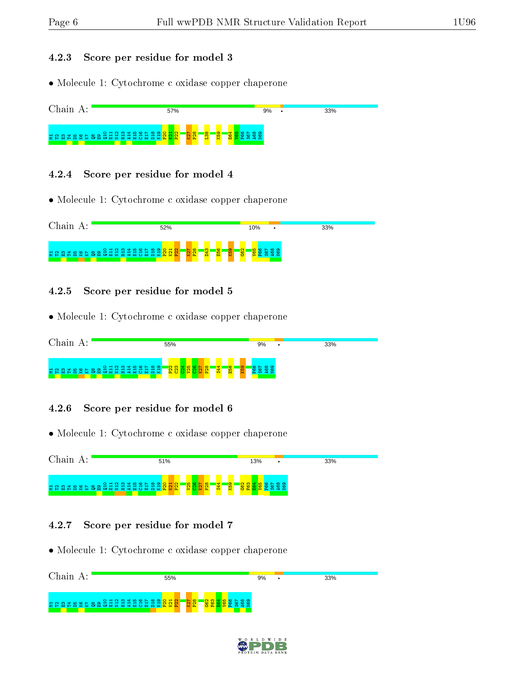#### 4.2.3 Score per residue for model 3

• Molecule 1: Cytochrome c oxidase copper chaperone



#### 4.2.4 Score per residue for model 4

• Molecule 1: Cytochrome c oxidase copper chaperone



#### 4.2.5 Score per residue for model 5

• Molecule 1: Cytochrome c oxidase copper chaperone



#### 4.2.6 Score per residue for model 6

• Molecule 1: Cytochrome c oxidase copper chaperone



#### 4.2.7 Score per residue for model 7

| Chain<br>л. | 55%                                                                                     | 9%                                               | 33% |
|-------------|-----------------------------------------------------------------------------------------|--------------------------------------------------|-----|
|             | E G B E B & C & B 8 3 5 5 5 5 5 5 6 5 6 5 6 7 6 7 6 7<br>$\frac{1}{2}$ ମିଣ୍ଡି<br>ន្ត្រី | $\sim$ $\infty$<br>ഹ<br>- 2<br><b>CS DE</b><br>ທ |     |

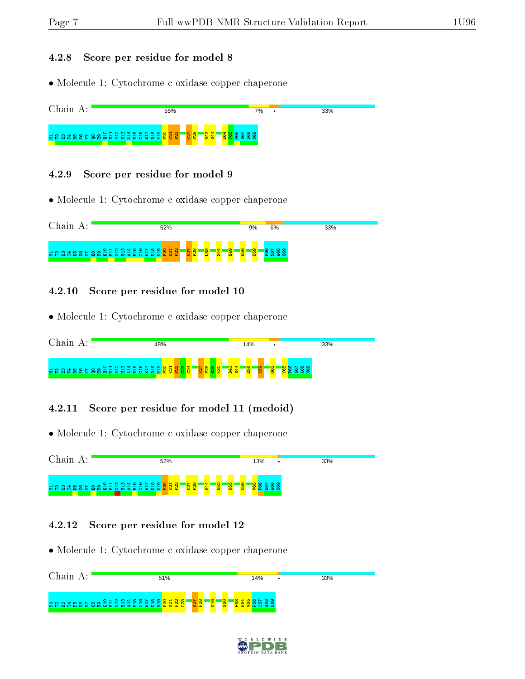#### 4.2.8 Score per residue for model 8

• Molecule 1: Cytochrome c oxidase copper chaperone



#### 4.2.9 Score per residue for model 9

• Molecule 1: Cytochrome c oxidase copper chaperone



#### 4.2.10 Score per residue for model 10

• Molecule 1: Cytochrome c oxidase copper chaperone

| 48%  | 14%                                                                             | 33% |
|------|---------------------------------------------------------------------------------|-----|
| n en | ¢<br>$\sigma$<br>က<br>$\mathbf{\alpha}$<br>∾<br>r<br>ġ.<br>ш<br>e ty<br>o.<br>S | ਵ   |

#### 4.2.11 Score per residue for model 11 (medoid)

• Molecule 1: Cytochrome c oxidase copper chaperone

Chain A: 52% **13%** 33% គម្រាប់ ស្រុក ស្រុក ស្រុក ស្រុក ស្រុក ស្រុក ស្រុក ស្រុក ស្រុក ស្រុក ស្រុក ស្រុក ស្រុក ស្រុក ស្រុក ស<br>កម្មវិធី ស្រុក ស្រុក ស្រុក ស្រុក ស្រុក ស្រុក ស្រុក ស្រុក ស្រុក ស្រុក ស្រុក ស្រុក ស្រុក ស្រុក ស្រុក ស្រុក ស្រុក និ<mark>ន្ទ ឌ្</mark>ន  $\overline{2}$  $\frac{8}{28}$ S44  $\frac{2}{5}$  $\frac{1}{3}$  $\frac{8}{3}$  $\frac{1}{2}$ P66 S67  $\frac{8}{2}$ N69

#### 4.2.12 Score per residue for model 12

| Chain A: | 51%                                                                                                                                                  | 14%             | 33% |
|----------|------------------------------------------------------------------------------------------------------------------------------------------------------|-----------------|-----|
|          | $\mathbb{R} \times \mathbb{R}$<br><b>3 ស្តុង ឆ្លង ទី ទី ទី អ្នក ឆ្លង ឆ្លង</b> ឆ្លង ស្តុ <mark>ង</mark> ស្តុង ស្តុ <mark>ំទី</mark><br><b>i</b><br>1Q | <b>GSO</b><br>œ |     |

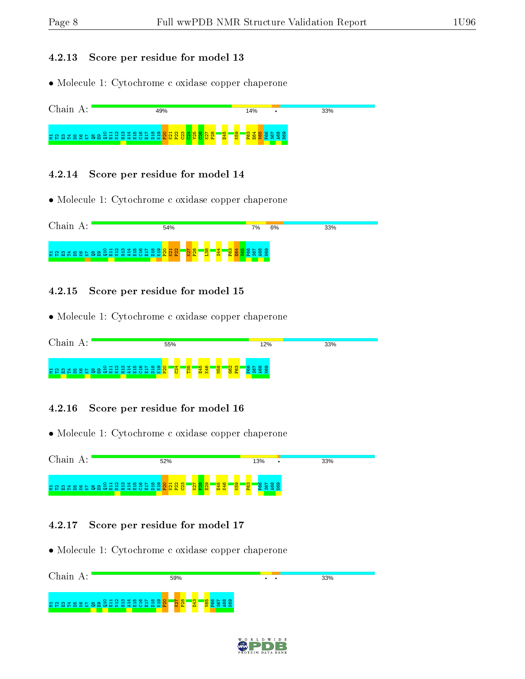#### 4.2.13 Score per residue for model 13

• Molecule 1: Cytochrome c oxidase copper chaperone



#### 4.2.14 Score per residue for model 14

• Molecule 1: Cytochrome c oxidase copper chaperone



#### 4.2.15 Score per residue for model 15

• Molecule 1: Cytochrome c oxidase copper chaperone

| Chain                                                    | 55%                                           | 12%                                                   | 33% |
|----------------------------------------------------------|-----------------------------------------------|-------------------------------------------------------|-----|
| E G G L B & C B G S H S H H H S H S H S G <mark>S</mark> | <mark>铃</mark><br>$\overline{C^4}$<br>¢<br>v. | <mark>883</mark><br><b>M58</b><br>$\circ$ $\sim$<br>╺ |     |

#### 4.2.16 Score per residue for model 16

• Molecule 1: Cytochrome c oxidase copper chaperone



#### 4.2.17 Score per residue for model 17

| Chain A:                                                                    | 59%                              | $\bullet$ | 33% |
|-----------------------------------------------------------------------------|----------------------------------|-----------|-----|
| $\circ$ $\circ$<br><b>គមសង្គ្រី ខេត្ត ក្នុង</b> ក្នុង ក្នុង ក្នុង ក្នុង ក្ន | $\frac{5}{2}$<br>ကျ<br><b>SC</b> |           |     |

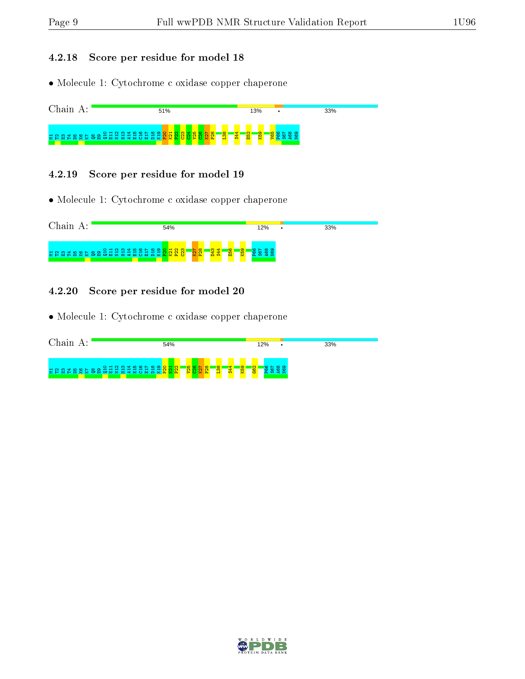#### 4.2.18 Score per residue for model 18

• Molecule 1: Cytochrome c oxidase copper chaperone



#### 4.2.19 Score per residue for model 19

• Molecule 1: Cytochrome c oxidase copper chaperone



#### 4.2.20 Score per residue for model 20

| Chain<br>А. | 54%                                                                                                                   | 12%                                                                                  | 33% |
|-------------|-----------------------------------------------------------------------------------------------------------------------|--------------------------------------------------------------------------------------|-----|
| 불합없법        | 78<br>$O H N M H N O N \omega$<br><b>R 82</b><br>œ.<br>െ<br>18868888888888<br>—<br>$\sim$ $\sim$ $\sim$ $\sim$<br>- 1 | <b>ige</b><br>K <sub>59</sub><br>न<br>¢<br><b>C5</b><br>$\overline{\mathbf{c}}$<br>E |     |

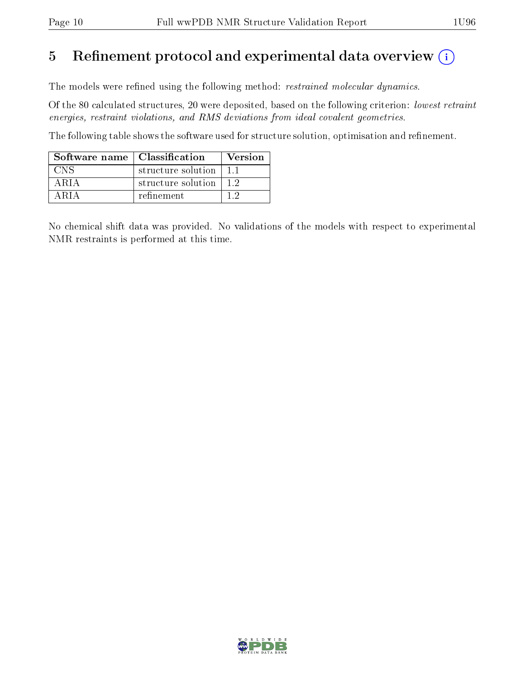## 5 Refinement protocol and experimental data overview  $(i)$

The models were refined using the following method: *restrained molecular dynamics*.

Of the 80 calculated structures, 20 were deposited, based on the following criterion: lowest retraint energies, restraint violations, and RMS deviations from ideal covalent geometries.

The following table shows the software used for structure solution, optimisation and refinement.

| Software name   Classification |                    | Version |
|--------------------------------|--------------------|---------|
| CNS                            | structure solution | 11      |
| ARIA                           | structure solution |         |
| A R L                          | refinement         |         |

No chemical shift data was provided. No validations of the models with respect to experimental NMR restraints is performed at this time.

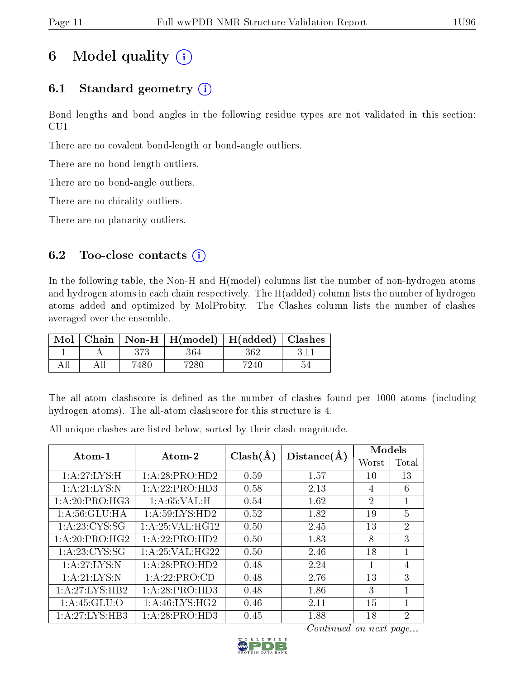## 6 Model quality  $(i)$

### 6.1 Standard geometry  $(i)$

Bond lengths and bond angles in the following residue types are not validated in this section: CU1

There are no covalent bond-length or bond-angle outliers.

There are no bond-length outliers.

There are no bond-angle outliers.

There are no chirality outliers.

There are no planarity outliers.

### 6.2 Too-close contacts  $(i)$

In the following table, the Non-H and H(model) columns list the number of non-hydrogen atoms and hydrogen atoms in each chain respectively. The H(added) column lists the number of hydrogen atoms added and optimized by MolProbity. The Clashes column lists the number of clashes averaged over the ensemble.

| Mol |      | Chain   Non-H   $H(model)$   $H(added)$   Clashes |     |  |
|-----|------|---------------------------------------------------|-----|--|
|     | 979  | 364                                               | 362 |  |
|     | '480 | 7286                                              |     |  |

The all-atom clashscore is defined as the number of clashes found per 1000 atoms (including hydrogen atoms). The all-atom clashscore for this structure is 4.

| Atom-1            | Atom-2                     | $Clash(\AA)$ | Distance(A) | Models         |                |
|-------------------|----------------------------|--------------|-------------|----------------|----------------|
|                   |                            |              |             | Worst          | Total          |
| 1:A:27:LYS:H      | 1:A:28:PRO:HD2             | 0.59         | 1.57        | 10             | 13             |
| 1:A:21:LYS:N      | 1:A:22:PRO:HD3             | 0.58         | 2.13        | 4              | 6              |
| 1:A:20:PRO:HG3    | 1:A:65:VAL:H               | 0.54         | 1.62        | $\overline{2}$ | 1              |
| 1: A:56: GLU: HA  | 1: A:59: LYS: HD2          | 0.52         | 1.82        | 19             | $\overline{5}$ |
| 1: A: 23: CYS: SG | 1: A:25: VAL:HG12          | 0.50         | 2.45        | 13             | $\overline{2}$ |
| 1:A:20:PRO:HG2    | 1:A:22:PRO:HD2             | 0.50         | 1.83        | 8              | 3              |
| 1: A: 23: CYS: SG | 1: A:25: VAL:HG22          | 0.50         | 2.46        | 18             | 1              |
| 1:A:27:LYS:N      | 1:A:28:PRO:H <sub>D2</sub> | 0.48         | 2.24        | 1              | 4              |
| 1:A:21:LYS:N      | 1:A:22:PRO:CD              | 0.48         | 2.76        | 13             | 3              |
| 1:A:27:LYS:HB2    | 1:A:28:PRO:HD3             | 0.48         | 1.86        | 3              | 1              |
| 1: A:45: GLU:O    | 1:A:46:LYS:HG2             | 0.46         | 2.11        | 15             | 1              |
| 1:A:27:LYS:HB3    | 1: A:28: PRO:HD3           | 0.45         | 1.88        | 18             | $\mathcal{D}$  |

All unique clashes are listed below, sorted by their clash magnitude.

Continued on next page...

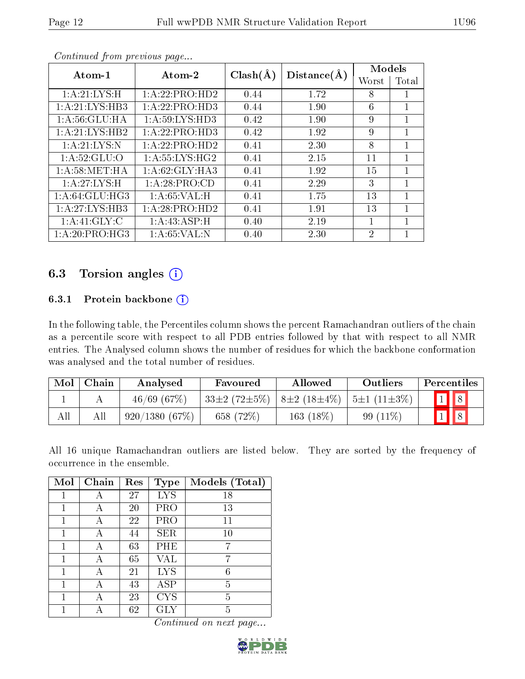| Atom-1           | Atom-2            | $Clash(\AA)$ | Distance(A) | Models         |       |
|------------------|-------------------|--------------|-------------|----------------|-------|
|                  |                   |              |             | Worst          | Total |
| 1:A:21:LYS:H     | 1:A:22:PRO:HD2    | 0.44         | 1.72        | 8              |       |
| 1: A:21: LYS:HB3 | 1: A:22: PRO:HD3  | 0.44         | 1.90        | 6              |       |
| 1: A:56: GLU: HA | 1: A:59: LYS: HD3 | 0.42         | 1.90        | 9              | 1     |
| 1:A:21:LYS:HB2   | 1: A:22: PRO:HD3  | 0.42         | 1.92        | 9              | 1     |
| 1:A:21:LYS:N     | 1: A:22: PRO:HD2  | 0.41         | 2.30        | 8              |       |
| 1: A:52: GLU:O   | 1: A:55:LYS:HG2   | 0.41         | 2.15        | 11             |       |
| 1: A:58: MET:HA  | 1: A:62: GLY:HA3  | 0.41         | 1.92        | 15             | 1     |
| 1:A:27:LYS:H     | 1:A:28:PRO:CD     | 0.41         | 2.29        | 3              | 1     |
| 1: A:64: GLU:HG3 | 1:A:65:VAL:H      | 0.41         | 1.75        | 13             |       |
| 1: A:27: LYS:HB3 | 1: A:28: PRO:HD2  | 0.41         | 1.91        | 13             | 1     |
| 1: A:41: GLY: C  | 1:A:43:ASP:H      | 0.40         | 2.19        | 1              |       |
| 1:A:20:PRO:HG3   | 1: A:65:VAL: N    | 0.40         | 2.30        | $\overline{2}$ |       |

Continued from previous page...

### 6.3 Torsion angles (i)

#### 6.3.1 Protein backbone (i)

In the following table, the Percentiles column shows the percent Ramachandran outliers of the chain as a percentile score with respect to all PDB entries followed by that with respect to all NMR entries. The Analysed column shows the number of residues for which the backbone conformation was analysed and the total number of residues.

| Mol | ${\rm Chain}$ | Analysed      | Favoured           | Allowed           | Outliers          | Percentiles |
|-----|---------------|---------------|--------------------|-------------------|-------------------|-------------|
|     |               | 46/69(67%)    | $33\pm2(72\pm5\%)$ | $8\pm2(18\pm4\%)$ | $5\pm1(11\pm3\%)$ |             |
| All |               | 920/1380(67%) | 658 (72%)          | 163 (18%)         | 99 $(11\%)$       |             |

All 16 unique Ramachandran outliers are listed below. They are sorted by the frequency of occurrence in the ensemble.

| Mol | Chain | Res | <b>Type</b> | Models (Total) |
|-----|-------|-----|-------------|----------------|
| 1   | А     | 27  | <b>LYS</b>  | 18             |
| 1   | А     | 20  | PRO         | 13             |
| 1   | А     | 22  | PRO         | 11             |
| 1   | А     | 44  | <b>SER</b>  | 10             |
| 1   | А     | 63  | PHE         | 7              |
| 1   | А     | 65  | VAL         | 7              |
| 1   | А     | 21  | <b>LYS</b>  | 6              |
| 1   | А     | 43  | ASP         | 5              |
| 1   | А     | 23  | <b>CYS</b>  | 5              |
|     |       | 62  | $\rm GLY$   | 5              |

Continued on next page...

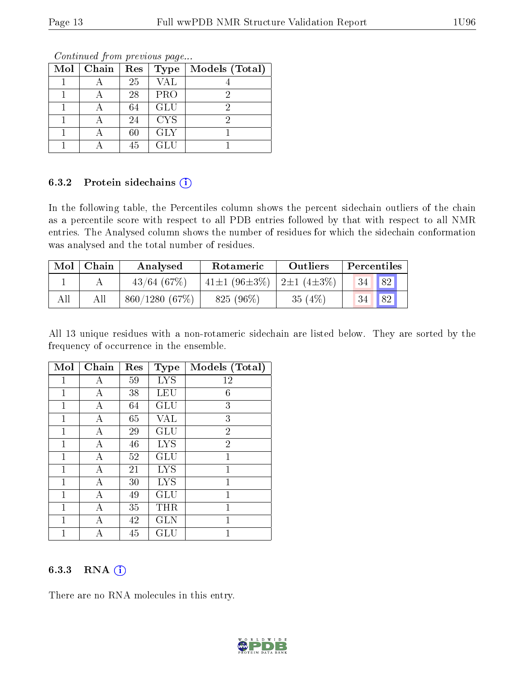| Mol | $\vert$ Chain | Res | <b>Type</b> | Models (Total) |
|-----|---------------|-----|-------------|----------------|
|     |               | 25  | <b>VAL</b>  |                |
|     |               | 28  | <b>PRO</b>  |                |
|     |               | 64  | <b>GLU</b>  |                |
|     |               | 24  | <b>CYS</b>  |                |
|     |               | 60  | <b>GLY</b>  |                |
|     |               | 45  | <b>GLU</b>  |                |

Continued from previous page...

#### 6.3.2 Protein sidechains (i)

In the following table, the Percentiles column shows the percent sidechain outliers of the chain as a percentile score with respect to all PDB entries followed by that with respect to all NMR entries. The Analysed column shows the number of residues for which the sidechain conformation was analysed and the total number of residues.

| $\bf{Mol}$ | Chain | Analysed      | Rotameric                   | Outliers  | Percentiles     |    |
|------------|-------|---------------|-----------------------------|-----------|-----------------|----|
|            |       | 43/64(67%)    | 41±1 (96±3\%)   2±1 (4±3\%) |           | 34 <sup>1</sup> | 82 |
| All        |       | 860/1280(67%) | 825 (96%)                   | 35 $(4%)$ |                 | 82 |

All 13 unique residues with a non-rotameric sidechain are listed below. They are sorted by the frequency of occurrence in the ensemble.

| Mol | Chain | Res | <b>Type</b>          | Models (Total) |
|-----|-------|-----|----------------------|----------------|
| 1   | А     | 59  | <b>LYS</b>           | 12             |
| 1   | А     | 38  | LEU                  | 6              |
| 1   | А     | 64  | GLU                  | 3              |
| 1   | А     | 65  | VAL                  | 3              |
| 1   | A     | 29  | GLU                  | $\overline{2}$ |
| 1   | А     | 46  | <b>LYS</b>           | $\overline{2}$ |
| 1   | А     | 52  | GLU                  | 1              |
| 1   | А     | 21  | <b>LYS</b>           | 1              |
| 1   | А     | 30  | <b>LYS</b>           | 1              |
| 1   | А     | 49  | $\operatorname{GLU}$ | 1              |
| 1   | А     | 35  | THR                  | 1              |
| 1   | Α     | 42  | <b>GLN</b>           | 1              |
| 1   | А     | 45  | GLU                  | 1              |

#### 6.3.3 RNA (i)

There are no RNA molecules in this entry.

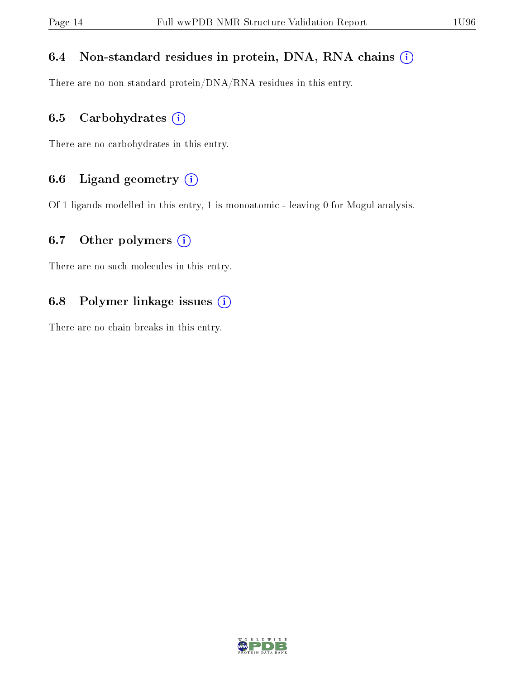#### 6.4 Non-standard residues in protein, DNA, RNA chains (i)

There are no non-standard protein/DNA/RNA residues in this entry.

#### 6.5 Carbohydrates  $(i)$

There are no carbohydrates in this entry.

### 6.6 Ligand geometry  $(i)$

Of 1 ligands modelled in this entry, 1 is monoatomic - leaving 0 for Mogul analysis.

#### 6.7 [O](https://www.wwpdb.org/validation/2017/NMRValidationReportHelp#nonstandard_residues_and_ligands)ther polymers  $(i)$

There are no such molecules in this entry.

#### 6.8 Polymer linkage issues  $(i)$

There are no chain breaks in this entry.